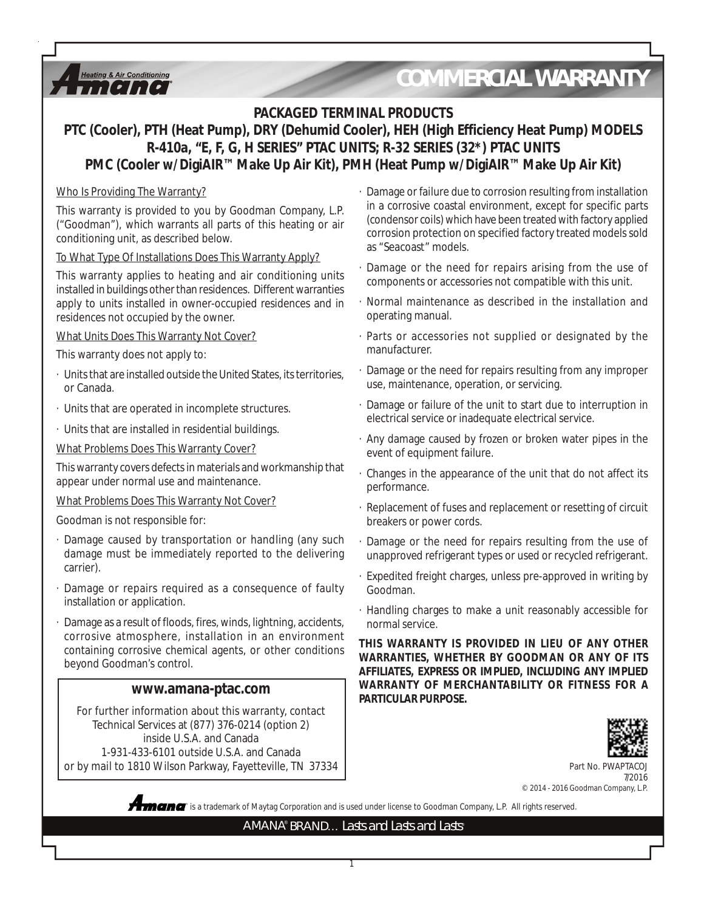### Heating & Air Conditioning  $\boldsymbol{H}$

# *COMMERCIAL WARRANTY*

### **PACKAGED TERMINAL PRODUCTS**

## **PTC (Cooler), PTH (Heat Pump), DRY (Dehumid Cooler), HEH (High Efficiency Heat Pump) MODELS R-410a, "E, F, G, H SERIES" PTAC UNITS; R-32 SERIES (32\*) PTAC UNITS PMC (Cooler w/DigiAIR™ Make Up Air Kit), PMH (Heat Pump w/DigiAIR™ Make Up Air Kit)**

### Who Is Providing The Warranty?

This warranty is provided to you by Goodman Company, L.P. ("Goodman"), which warrants all parts of this heating or air conditioning unit, as described below.

### To What Type Of Installations Does This Warranty Apply?

This warranty applies to heating and air conditioning units installed in buildings other than residences. Different warranties apply to units installed in owner-occupied residences and in residences not occupied by the owner.

### What Units Does This Warranty Not Cover?

This warranty does not apply to:

- · Units that are installed outside the United States, its territories, or Canada.
- · Units that are operated in incomplete structures.
- · Units that are installed in residential buildings.

What Problems Does This Warranty Cover?

This warranty covers defects in materials and workmanship that appear under normal use and maintenance.

#### What Problems Does This Warranty Not Cover?

Goodman is not responsible for:

- · Damage caused by transportation or handling (any such damage must be immediately reported to the delivering carrier).
- Damage or repairs required as a consequence of faulty installation or application.
- Damage as a result of floods, fires, winds, lightning, accidents, corrosive atmosphere, installation in an environment containing corrosive chemical agents, or other conditions beyond Goodman's control.

For further information about this warranty, contact Technical Services at (877) 376-0214 (option 2) inside U.S.A. and Canada 1-931-433-6101 outside U.S.A. and Canada or by mail to 1810 Wilson Parkway, Fayetteville, TN 37334

- · Damage or failure due to corrosion resulting from installation in a corrosive coastal environment, except for specific parts (condensor coils) which have been treated with factory applied corrosion protection on specified factory treated models sold as "Seacoast" models.
- Damage or the need for repairs arising from the use of components or accessories not compatible with this unit.
- · Normal maintenance as described in the installation and operating manual.
- · Parts or accessories not supplied or designated by the manufacturer.
- · Damage or the need for repairs resulting from any improper use, maintenance, operation, or servicing.
- · Damage or failure of the unit to start due to interruption in electrical service or inadequate electrical service.
- · Any damage caused by frozen or broken water pipes in the event of equipment failure.
- · Changes in the appearance of the unit that do not affect its performance.
- · Replacement of fuses and replacement or resetting of circuit breakers or power cords.
- Damage or the need for repairs resulting from the use of unapproved refrigerant types or used or recycled refrigerant.
- · Expedited freight charges, unless pre-approved in writing by Goodman.
- · Handling charges to make a unit reasonably accessible for normal service.

**THIS WARRANTY IS PROVIDED IN LIEU OF ANY OTHER WARRANTIES, WHETHER BY GOODMAN OR ANY OF ITS AFFILIATES, EXPRESS OR IMPLIED, INCLUDING ANY IMPLIED WARRANTY OF MERCHANTABILITY OR FITNESS FOR A PARTICULAR PURPOSE.** WWW.amana-ptac.com **PARTICULAR PURPOSE.** 



Part No. PWAP 7/2016 © 2014 - 2016 Goodman Company, L.P.



**®** is a trademark of Maytag Corporation and is used under license to Goodman Company, L.P. All rights reserved.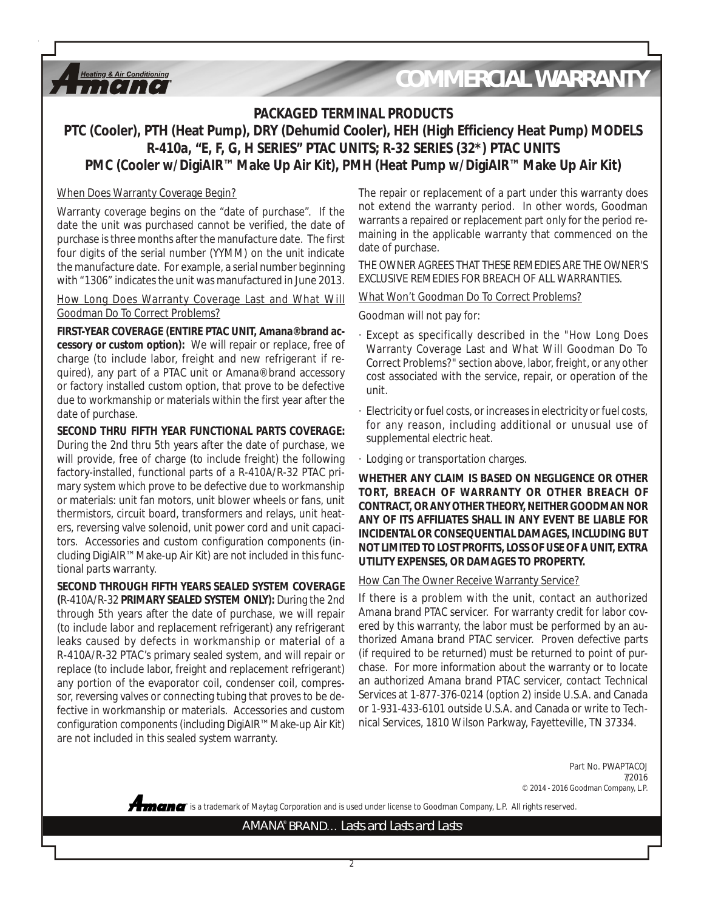#### **Heating & Air Conditioning**  $II$

## *COMMERCIAL WARRANTY*

### **PACKAGED TERMINAL PRODUCTS**

### **PTC (Cooler), PTH (Heat Pump), DRY (Dehumid Cooler), HEH (High Efficiency Heat Pump) MODELS R-410a, "E, F, G, H SERIES" PTAC UNITS; R-32 SERIES (32\*) PTAC UNITS PMC (Cooler w/DigiAIR™ Make Up Air Kit), PMH (Heat Pump w/DigiAIR™ Make Up Air Kit)**

#### When Does Warranty Coverage Begin?

Warranty coverage begins on the "date of purchase". If the date the unit was purchased cannot be verified, the date of purchase is three months after the manufacture date. The first four digits of the serial number (YYMM) on the unit indicate the manufacture date. For example, a serial number beginning with "1306" indicates the unit was manufactured in June 2013.

How Long Does Warranty Coverage Last and What Will Goodman Do To Correct Problems?

**FIRST-YEAR COVERAGE (ENTIRE PTAC UNIT, Amana® brand accessory or custom option):** We will repair or replace, free of charge (to include labor, freight and new refrigerant if required), any part of a PTAC unit or Amana® brand accessory or factory installed custom option, that prove to be defective due to workmanship or materials within the first year after the date of purchase.

**SECOND THRU FIFTH YEAR FUNCTIONAL PARTS COVERAGE:** During the 2nd thru 5th years after the date of purchase, we will provide, free of charge (to include freight) the following factory-installed, functional parts of a R-410A/R-32 PTAC primary system which prove to be defective due to workmanship or materials: unit fan motors, unit blower wheels or fans, unit thermistors, circuit board, transformers and relays, unit heaters, reversing valve solenoid, unit power cord and unit capacitors. Accessories and custom configuration components (including DigiAIR™ Make-up Air Kit) are not included in this functional parts warranty.

**SECOND THROUGH FIFTH YEARS SEALED SYSTEM COVERAGE (**R-410A/R-32 **PRIMARY SEALED SYSTEM ONLY):** During the 2nd through 5th years after the date of purchase, we will repair (to include labor and replacement refrigerant) any refrigerant leaks caused by defects in workmanship or material of a R-410A/R-32 PTAC's primary sealed system, and will repair or replace (to include labor, freight and replacement refrigerant) any portion of the evaporator coil, condenser coil, compressor, reversing valves or connecting tubing that proves to be defective in workmanship or materials. Accessories and custom configuration components (including DigiAIR™ Make-up Air Kit) are not included in this sealed system warranty.

The repair or replacement of a part under this warranty does not extend the warranty period. In other words, Goodman warrants a repaired or replacement part only for the period remaining in the applicable warranty that commenced on the date of purchase.

THE OWNER AGREES THAT THESE REMEDIES ARE THE OWNER'S EXCLUSIVE REMEDIES FOR BREACH OF ALL WARRANTIES.

What Won't Goodman Do To Correct Problems?

Goodman will not pay for:

- · Except as specifically described in the "How Long Does Warranty Coverage Last and What Will Goodman Do To Correct Problems?" section above, labor, freight, or any other cost associated with the service, repair, or operation of the unit.
- · Electricity or fuel costs, or increases in electricity or fuel costs, for any reason, including additional or unusual use of supplemental electric heat.
- · Lodging or transportation charges.

**WHETHER ANY CLAIM IS BASED ON NEGLIGENCE OR OTHER TORT, BREACH OF WARRANTY OR OTHER BREACH OF CONTRACT, OR ANY OTHER THEORY, NEITHER GOODMAN NOR ANY OF ITS AFFILIATES SHALL IN ANY EVENT BE LIABLE FOR INCIDENTAL OR CONSEQUENTIAL DAMAGES, INCLUDING BUT NOT LIMITED TO LOST PROFITS, LOSS OF USE OF A UNIT, EXTRA UTILITY EXPENSES, OR DAMAGES TO PROPERTY.**

#### How Can The Owner Receive Warranty Service?

If there is a problem with the unit, contact an authorized Amana brand PTAC servicer. For warranty credit for labor covered by this warranty, the labor must be performed by an authorized Amana brand PTAC servicer. Proven defective parts (if required to be returned) must be returned to point of purchase. For more information about the warranty or to locate an authorized Amana brand PTAC servicer, contact Technical Services at 1-877-376-0214 (option 2) inside U.S.A. and Canada or 1-931-433-6101 outside U.S.A. and Canada or write to Technical Services, 1810 Wilson Parkway, Fayetteville, TN 37334.

> Part No. PWAPTACOJ 7/2016 © 2014 - 2016 Goodman Company, L.P.

**®** is a trademark of Maytag Corporation and is used under license to Goodman Company, L.P. All rights reserved.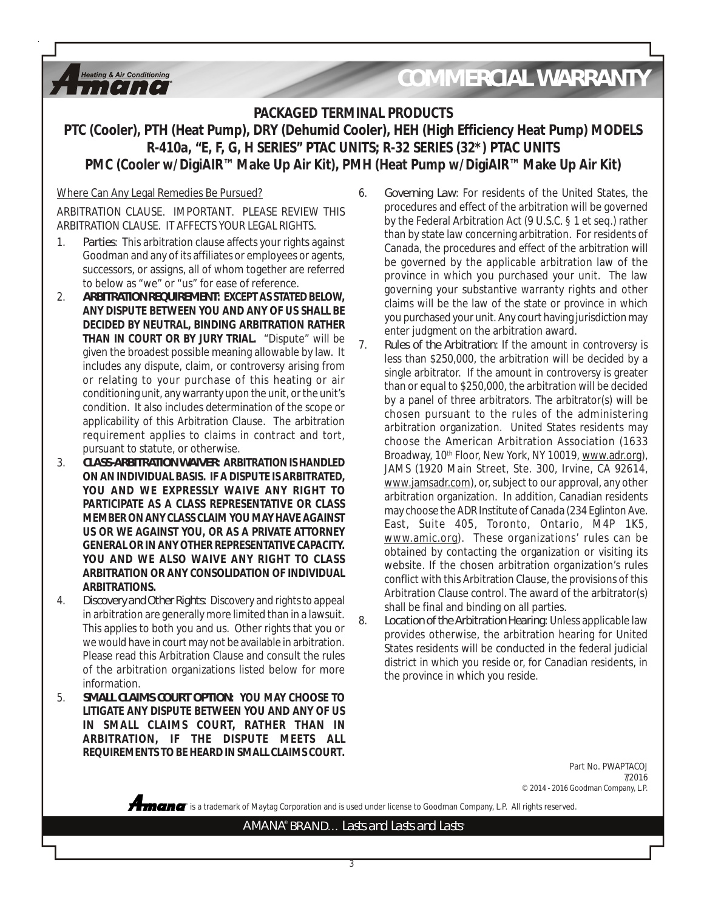# *COMMERCIAL WARRANTY*

### **PACKAGED TERMINAL PRODUCTS**

### **PTC (Cooler), PTH (Heat Pump), DRY (Dehumid Cooler), HEH (High Efficiency Heat Pump) MODELS R-410a, "E, F, G, H SERIES" PTAC UNITS; R-32 SERIES (32\*) PTAC UNITS PMC (Cooler w/DigiAIR™ Make Up Air Kit), PMH (Heat Pump w/DigiAIR™ Make Up Air Kit)**

### Where Can Any Legal Remedies Be Pursued?

**Heating & Air Conditioning**  $II$ 

ARBITRATION CLAUSE. IMPORTANT. PLEASE REVIEW THIS ARBITRATION CLAUSE. IT AFFECTS YOUR LEGAL RIGHTS.

- 1. *Parties*: This arbitration clause affects your rights against Goodman and any of its affiliates or employees or agents, successors, or assigns, all of whom together are referred to below as "we" or "us" for ease of reference.
- 2. *ARBITRATION REQUIREMENT***: EXCEPT AS STATED BELOW, ANY DISPUTE BETWEEN YOU AND ANY OF US SHALL BE DECIDED BY NEUTRAL, BINDING ARBITRATION RATHER THAN IN COURT OR BY JURY TRIAL.** "Dispute" will be given the broadest possible meaning allowable by law. It includes any dispute, claim, or controversy arising from or relating to your purchase of this heating or air conditioning unit, any warranty upon the unit, or the unit's condition. It also includes determination of the scope or applicability of this Arbitration Clause. The arbitration requirement applies to claims in contract and tort, pursuant to statute, or otherwise.
- 3. *CLASS-ARBITRATION WAIVER***: ARBITRATION IS HANDLED ON AN INDIVIDUAL BASIS. IF A DISPUTE IS ARBITRATED, YOU AND WE EXPRESSLY WAIVE ANY RIGHT TO PARTICIPATE AS A CLASS REPRESENTATIVE OR CLASS MEMBER ON ANY CLASS CLAIM YOU MAY HAVE AGAINST US OR WE AGAINST YOU, OR AS A PRIVATE ATTORNEY GENERAL OR IN ANY OTHER REPRESENTATIVE CAPACITY. YOU AND WE ALSO WAIVE ANY RIGHT TO CLASS ARBITRATION OR ANY CONSOLIDATION OF INDIVIDUAL ARBITRATIONS.**
- 4. *Discovery and Other Rights*: Discovery and rights to appeal in arbitration are generally more limited than in a lawsuit. This applies to both you and us. Other rights that you or we would have in court may not be available in arbitration. Please read this Arbitration Clause and consult the rules of the arbitration organizations listed below for more information.
- 5. *SMALL CLAIMS COURT OPTION***: YOU MAY CHOOSE TO LITIGATE ANY DISPUTE BETWEEN YOU AND ANY OF US IN SMALL CLAIMS COURT, RATHER THAN IN ARBITRATION, IF THE DISPUTE MEETS ALL REQUIREMENTS TO BE HEARD IN SMALL CLAIMS COURT.**
- 6. *Governing Law*: For residents of the United States, the procedures and effect of the arbitration will be governed by the Federal Arbitration Act (9 U.S.C. § 1 et seq.) rather than by state law concerning arbitration. For residents of Canada, the procedures and effect of the arbitration will be governed by the applicable arbitration law of the province in which you purchased your unit. The law governing your substantive warranty rights and other claims will be the law of the state or province in which you purchased your unit. Any court having jurisdiction may enter judgment on the arbitration award.
- 7. *Rules of the Arbitration*: If the amount in controversy is less than \$250,000, the arbitration will be decided by a single arbitrator. If the amount in controversy is greater than or equal to \$250,000, the arbitration will be decided by a panel of three arbitrators. The arbitrator(s) will be chosen pursuant to the rules of the administering arbitration organization. United States residents may choose the American Arbitration Association (1633 Broadway, 10<sup>th</sup> Floor, New York, NY 10019, www.adr.org), JAMS (1920 Main Street, Ste. 300, Irvine, CA 92614, www.jamsadr.com), or, subject to our approval, any other arbitration organization. In addition, Canadian residents may choose the ADR Institute of Canada (234 Eglinton Ave. East, Suite 405, Toronto, Ontario, M4P 1K5, www.amic.org). These organizations' rules can be obtained by contacting the organization or visiting its website. If the chosen arbitration organization's rules conflict with this Arbitration Clause, the provisions of this Arbitration Clause control. The award of the arbitrator(s) shall be final and binding on all parties.
- 8. *Location of the Arbitration Hearing*: Unless applicable law provides otherwise, the arbitration hearing for United States residents will be conducted in the federal judicial district in which you reside or, for Canadian residents, in the province in which you reside.

Part No. PWAPTACOJ 7/2016 © 2014 - 2016 Goodman Company, L.P.

**®** is a trademark of Maytag Corporation and is used under license to Goodman Company, L.P. All rights reserved.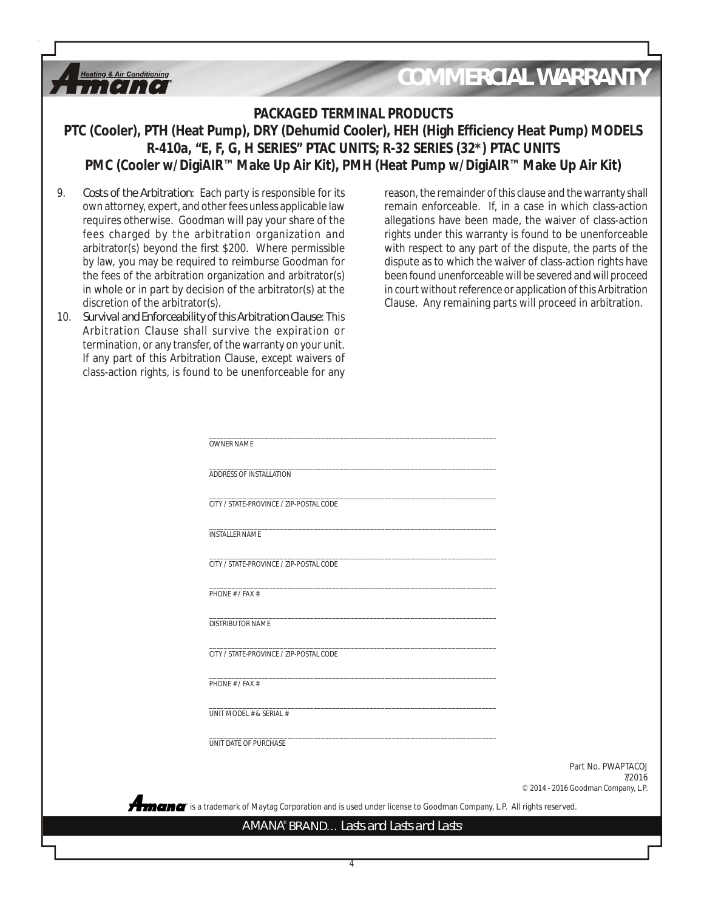## *COMMERCIAL WARRANTY*

### **PACKAGED TERMINAL PRODUCTS**

**PTC (Cooler), PTH (Heat Pump), DRY (Dehumid Cooler), HEH (High Efficiency Heat Pump) MODELS R-410a, "E, F, G, H SERIES" PTAC UNITS; R-32 SERIES (32\*) PTAC UNITS PMC (Cooler w/DigiAIR™ Make Up Air Kit), PMH (Heat Pump w/DigiAIR™ Make Up Air Kit)**

9. *Costs of the Arbitration*: Each party is responsible for its own attorney, expert, and other fees unless applicable law requires otherwise. Goodman will pay your share of the fees charged by the arbitration organization and arbitrator(s) beyond the first \$200. Where permissible by law, you may be required to reimburse Goodman for the fees of the arbitration organization and arbitrator(s) in whole or in part by decision of the arbitrator(s) at the discretion of the arbitrator(s).

**Heating & Air Conditioning**  $I \cdot I \cdot I \cdot I$ 

10. *Survival and Enforceability of this Arbitration Clause*: This Arbitration Clause shall survive the expiration or termination, or any transfer, of the warranty on your unit. If any part of this Arbitration Clause, except waivers of class-action rights, is found to be unenforceable for any

**A**n

reason, the remainder of this clause and the warranty shall remain enforceable. If, in a case in which class-action allegations have been made, the waiver of class-action rights under this warranty is found to be unenforceable with respect to any part of the dispute, the parts of the dispute as to which the waiver of class-action rights have been found unenforceable will be severed and will proceed in court without reference or application of this Arbitration Clause. Any remaining parts will proceed in arbitration.

| <b>OWNER NAME</b>                                                                                                         |                                     |
|---------------------------------------------------------------------------------------------------------------------------|-------------------------------------|
|                                                                                                                           |                                     |
| ADDRESS OF INSTALLATION                                                                                                   |                                     |
| CITY / STATE-PROVINCE / ZIP-POSTAL CODE                                                                                   |                                     |
| <b>INSTALLER NAME</b>                                                                                                     |                                     |
| CITY / STATE-PROVINCE / ZIP-POSTAL CODE                                                                                   |                                     |
| PHONE # / FAX #                                                                                                           |                                     |
| DISTRIBUTOR NAME                                                                                                          |                                     |
| CITY / STATE-PROVINCE / ZIP-POSTAL CODE                                                                                   |                                     |
| PHONE # / FAX #                                                                                                           |                                     |
| UNIT MODEL # & SERIAL #                                                                                                   |                                     |
| UNIT DATE OF PURCHASE                                                                                                     |                                     |
|                                                                                                                           | Part No. PWAPTACOJ<br>7/2016        |
|                                                                                                                           | © 2014 - 2016 Goodman Company, L.P. |
| <b>CEMCT</b> is a trademark of Maytag Corporation and is used under license to Goodman Company, L.P. All rights reserved. |                                     |
| AMANA® BRAND Lasts and Lasts and Lasts®                                                                                   |                                     |

4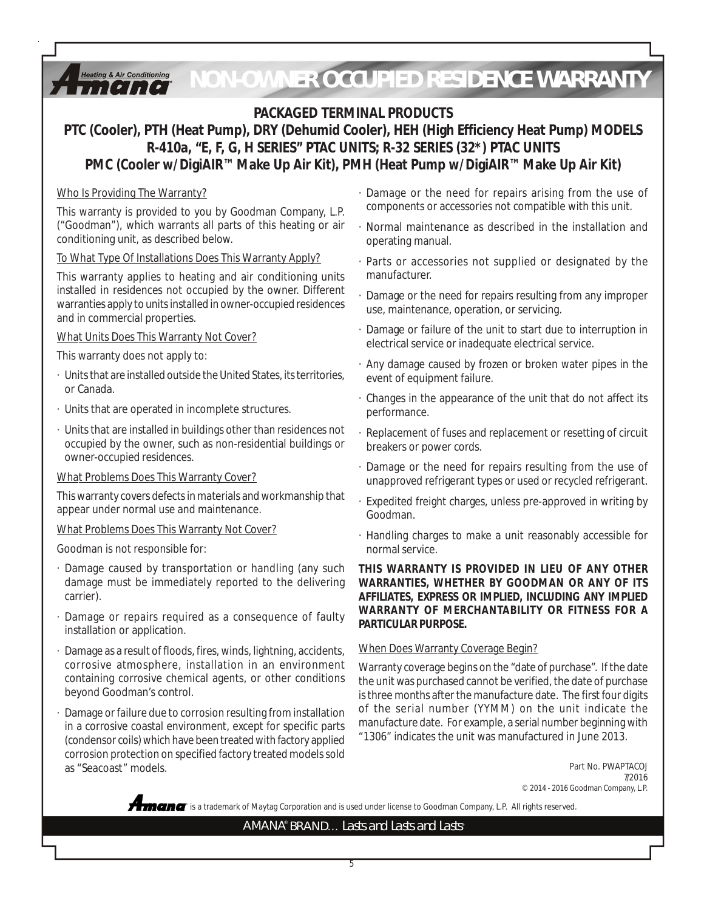#### *NON-OWNER OCCUPIED RESIDENCE WARRANTY***Heating & Air Conditioning**  $I \cdot I \cdot I$

### **PACKAGED TERMINAL PRODUCTS**

### **PTC (Cooler), PTH (Heat Pump), DRY (Dehumid Cooler), HEH (High Efficiency Heat Pump) MODELS R-410a, "E, F, G, H SERIES" PTAC UNITS; R-32 SERIES (32\*) PTAC UNITS PMC (Cooler w/DigiAIR™ Make Up Air Kit), PMH (Heat Pump w/DigiAIR™ Make Up Air Kit)**

### Who Is Providing The Warranty?

This warranty is provided to you by Goodman Company, L.P. ("Goodman"), which warrants all parts of this heating or air conditioning unit, as described below.

### To What Type Of Installations Does This Warranty Apply?

This warranty applies to heating and air conditioning units installed in residences not occupied by the owner. Different warranties apply to units installed in owner-occupied residences and in commercial properties.

### What Units Does This Warranty Not Cover?

This warranty does not apply to:

- · Units that are installed outside the United States, its territories, or Canada.
- · Units that are operated in incomplete structures.
- · Units that are installed in buildings other than residences not occupied by the owner, such as non-residential buildings or owner-occupied residences.

### What Problems Does This Warranty Cover?

This warranty covers defects in materials and workmanship that appear under normal use and maintenance.

### What Problems Does This Warranty Not Cover?

Goodman is not responsible for:

- · Damage caused by transportation or handling (any such damage must be immediately reported to the delivering carrier).
- Damage or repairs required as a consequence of faulty installation or application.
- Damage as a result of floods, fires, winds, lightning, accidents, corrosive atmosphere, installation in an environment containing corrosive chemical agents, or other conditions beyond Goodman's control.
- Damage or failure due to corrosion resulting from installation in a corrosive coastal environment, except for specific parts (condensor coils) which have been treated with factory applied corrosion protection on specified factory treated models sold as "Seacoast" models.
- · Damage or the need for repairs arising from the use of components or accessories not compatible with this unit.
- · Normal maintenance as described in the installation and operating manual.
- · Parts or accessories not supplied or designated by the manufacturer.
- · Damage or the need for repairs resulting from any improper use, maintenance, operation, or servicing.
- · Damage or failure of the unit to start due to interruption in electrical service or inadequate electrical service.
- · Any damage caused by frozen or broken water pipes in the event of equipment failure.
- · Changes in the appearance of the unit that do not affect its performance.
- · Replacement of fuses and replacement or resetting of circuit breakers or power cords.
- · Damage or the need for repairs resulting from the use of unapproved refrigerant types or used or recycled refrigerant.
- Expedited freight charges, unless pre-approved in writing by Goodman.
- · Handling charges to make a unit reasonably accessible for normal service.

### **THIS WARRANTY IS PROVIDED IN LIEU OF ANY OTHER WARRANTIES, WHETHER BY GOODMAN OR ANY OF ITS AFFILIATES, EXPRESS OR IMPLIED, INCLUDING ANY IMPLIED WARRANTY OF MERCHANTABILITY OR FITNESS FOR A PARTICULAR PURPOSE.**

### When Does Warranty Coverage Begin?

Warranty coverage begins on the "date of purchase". If the date the unit was purchased cannot be verified, the date of purchase is three months after the manufacture date. The first four digits of the serial number (YYMM) on the unit indicate the manufacture date. For example, a serial number beginning with "1306" indicates the unit was manufactured in June 2013.

> Part No. PWAPTACOJ 7/2016 © 2014 - 2016 Goodman Company, L.P.

**®** is a trademark of Maytag Corporation and is used under license to Goodman Company, L.P. All rights reserved.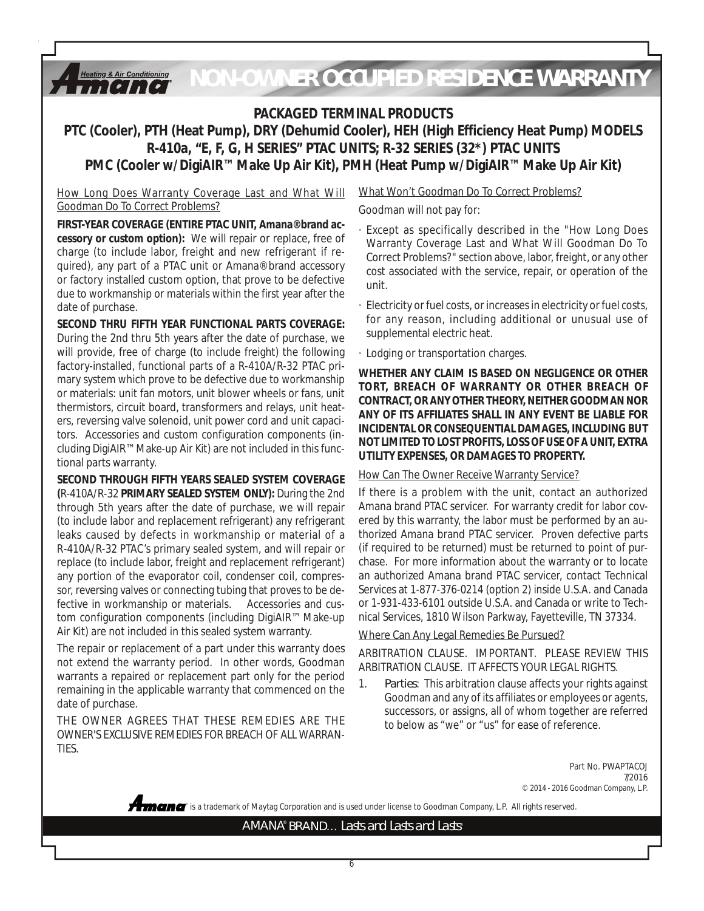#### *NON-OWNER OCCUPIED RESIDENCE WARRANTY***Heating & Air Conditioning**  $\iota$ , [ $\iota$ ], [ $\iota$ ]

### **PACKAGED TERMINAL PRODUCTS**

### **PTC (Cooler), PTH (Heat Pump), DRY (Dehumid Cooler), HEH (High Efficiency Heat Pump) MODELS R-410a, "E, F, G, H SERIES" PTAC UNITS; R-32 SERIES (32\*) PTAC UNITS PMC (Cooler w/DigiAIR™ Make Up Air Kit), PMH (Heat Pump w/DigiAIR™ Make Up Air Kit)**

How Long Does Warranty Coverage Last and What Will Goodman Do To Correct Problems?

**FIRST-YEAR COVERAGE (ENTIRE PTAC UNIT, Amana® brand accessory or custom option):** We will repair or replace, free of charge (to include labor, freight and new refrigerant if required), any part of a PTAC unit or Amana® brand accessory or factory installed custom option, that prove to be defective due to workmanship or materials within the first year after the date of purchase.

**SECOND THRU FIFTH YEAR FUNCTIONAL PARTS COVERAGE:** During the 2nd thru 5th years after the date of purchase, we will provide, free of charge (to include freight) the following factory-installed, functional parts of a R-410A/R-32 PTAC primary system which prove to be defective due to workmanship or materials: unit fan motors, unit blower wheels or fans, unit thermistors, circuit board, transformers and relays, unit heaters, reversing valve solenoid, unit power cord and unit capacitors. Accessories and custom configuration components (including DigiAIR™ Make-up Air Kit) are not included in this functional parts warranty.

**SECOND THROUGH FIFTH YEARS SEALED SYSTEM COVERAGE (**R-410A/R-32 **PRIMARY SEALED SYSTEM ONLY):** During the 2nd through 5th years after the date of purchase, we will repair (to include labor and replacement refrigerant) any refrigerant leaks caused by defects in workmanship or material of a R-410A/R-32 PTAC's primary sealed system, and will repair or replace (to include labor, freight and replacement refrigerant) any portion of the evaporator coil, condenser coil, compressor, reversing valves or connecting tubing that proves to be defective in workmanship or materials. Accessories and custom configuration components (including DigiAIR™ Make-up Air Kit) are not included in this sealed system warranty.

The repair or replacement of a part under this warranty does not extend the warranty period. In other words, Goodman warrants a repaired or replacement part only for the period remaining in the applicable warranty that commenced on the date of purchase.

THE OWNER AGREES THAT THESE REMEDIES ARE THE OWNER'S EXCLUSIVE REMEDIES FOR BREACH OF ALL WARRAN-TIES.

What Won't Goodman Do To Correct Problems? Goodman will not pay for:

- · Except as specifically described in the "How Long Does Warranty Coverage Last and What Will Goodman Do To Correct Problems?" section above, labor, freight, or any other cost associated with the service, repair, or operation of the unit.
- · Electricity or fuel costs, or increases in electricity or fuel costs, for any reason, including additional or unusual use of supplemental electric heat.
- · Lodging or transportation charges.

**WHETHER ANY CLAIM IS BASED ON NEGLIGENCE OR OTHER TORT, BREACH OF WARRANTY OR OTHER BREACH OF CONTRACT, OR ANY OTHER THEORY, NEITHER GOODMAN NOR ANY OF ITS AFFILIATES SHALL IN ANY EVENT BE LIABLE FOR INCIDENTAL OR CONSEQUENTIAL DAMAGES, INCLUDING BUT NOT LIMITED TO LOST PROFITS, LOSS OF USE OF A UNIT, EXTRA UTILITY EXPENSES, OR DAMAGES TO PROPERTY.**

### How Can The Owner Receive Warranty Service?

If there is a problem with the unit, contact an authorized Amana brand PTAC servicer. For warranty credit for labor covered by this warranty, the labor must be performed by an authorized Amana brand PTAC servicer. Proven defective parts (if required to be returned) must be returned to point of purchase. For more information about the warranty or to locate an authorized Amana brand PTAC servicer, contact Technical Services at 1-877-376-0214 (option 2) inside U.S.A. and Canada or 1-931-433-6101 outside U.S.A. and Canada or write to Technical Services, 1810 Wilson Parkway, Fayetteville, TN 37334.

#### Where Can Any Legal Remedies Be Pursued?

ARBITRATION CLAUSE. IMPORTANT. PLEASE REVIEW THIS ARBITRATION CLAUSE. IT AFFECTS YOUR LEGAL RIGHTS.

1. *Parties*: This arbitration clause affects your rights against Goodman and any of its affiliates or employees or agents, successors, or assigns, all of whom together are referred to below as "we" or "us" for ease of reference.

> Part No. PWAPTACOJ 7/2016 © 2014 - 2016 Goodman Company, L.P.

**®** is a trademark of Maytag Corporation and is used under license to Goodman Company, L.P. All rights reserved.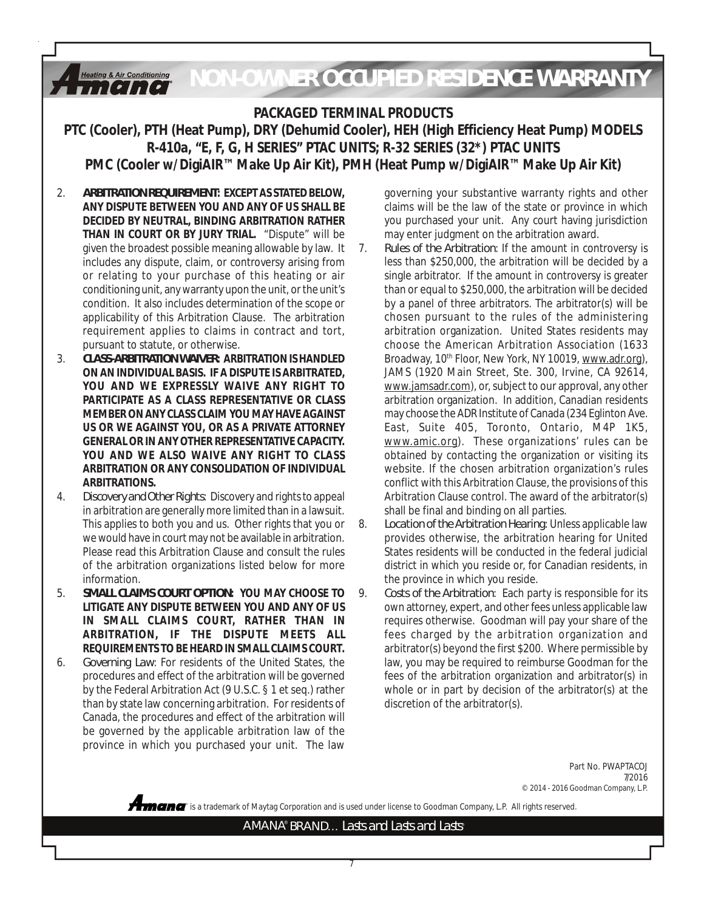*NON-OWNER OCCUPIED RESIDENCE WARRANTY***Heating & Air Conditioning**  $I \cdot I \cdot I \cdot$ 

### **PACKAGED TERMINAL PRODUCTS**

**PTC (Cooler), PTH (Heat Pump), DRY (Dehumid Cooler), HEH (High Efficiency Heat Pump) MODELS R-410a, "E, F, G, H SERIES" PTAC UNITS; R-32 SERIES (32\*) PTAC UNITS PMC (Cooler w/DigiAIR™ Make Up Air Kit), PMH (Heat Pump w/DigiAIR™ Make Up Air Kit)**

- 2. *ARBITRATION REQUIREMENT***: EXCEPT AS STATED BELOW, ANY DISPUTE BETWEEN YOU AND ANY OF US SHALL BE DECIDED BY NEUTRAL, BINDING ARBITRATION RATHER THAN IN COURT OR BY JURY TRIAL.** "Dispute" will be given the broadest possible meaning allowable by law. It includes any dispute, claim, or controversy arising from or relating to your purchase of this heating or air conditioning unit, any warranty upon the unit, or the unit's condition. It also includes determination of the scope or applicability of this Arbitration Clause. The arbitration requirement applies to claims in contract and tort, pursuant to statute, or otherwise.
- 3. *CLASS-ARBITRATION WAIVER***: ARBITRATION IS HANDLED ON AN INDIVIDUAL BASIS. IF A DISPUTE IS ARBITRATED, YOU AND WE EXPRESSLY WAIVE ANY RIGHT TO PARTICIPATE AS A CLASS REPRESENTATIVE OR CLASS MEMBER ON ANY CLASS CLAIM YOU MAY HAVE AGAINST US OR WE AGAINST YOU, OR AS A PRIVATE ATTORNEY GENERAL OR IN ANY OTHER REPRESENTATIVE CAPACITY. YOU AND WE ALSO WAIVE ANY RIGHT TO CLASS ARBITRATION OR ANY CONSOLIDATION OF INDIVIDUAL ARBITRATIONS.**
- 4. *Discovery and Other Rights*: Discovery and rights to appeal in arbitration are generally more limited than in a lawsuit. This applies to both you and us. Other rights that you or we would have in court may not be available in arbitration. Please read this Arbitration Clause and consult the rules of the arbitration organizations listed below for more information.
- 5. *SMALL CLAIMS COURT OPTION***: YOU MAY CHOOSE TO LITIGATE ANY DISPUTE BETWEEN YOU AND ANY OF US IN SMALL CLAIMS COURT, RATHER THAN IN ARBITRATION, IF THE DISPUTE MEETS ALL REQUIREMENTS TO BE HEARD IN SMALL CLAIMS COURT.**
- 6. *Governing Law*: For residents of the United States, the procedures and effect of the arbitration will be governed by the Federal Arbitration Act (9 U.S.C. § 1 et seq.) rather than by state law concerning arbitration. For residents of Canada, the procedures and effect of the arbitration will be governed by the applicable arbitration law of the province in which you purchased your unit. The law

governing your substantive warranty rights and other claims will be the law of the state or province in which you purchased your unit. Any court having jurisdiction may enter judgment on the arbitration award.

- 7. *Rules of the Arbitration*: If the amount in controversy is less than \$250,000, the arbitration will be decided by a single arbitrator. If the amount in controversy is greater than or equal to \$250,000, the arbitration will be decided by a panel of three arbitrators. The arbitrator(s) will be chosen pursuant to the rules of the administering arbitration organization. United States residents may choose the American Arbitration Association (1633 Broadway, 10<sup>th</sup> Floor, New York, NY 10019, www.adr.org), JAMS (1920 Main Street, Ste. 300, Irvine, CA 92614, www.jamsadr.com), or, subject to our approval, any other arbitration organization. In addition, Canadian residents may choose the ADR Institute of Canada (234 Eglinton Ave. East, Suite 405, Toronto, Ontario, M4P 1K5, www.amic.org). These organizations' rules can be obtained by contacting the organization or visiting its website. If the chosen arbitration organization's rules conflict with this Arbitration Clause, the provisions of this Arbitration Clause control. The award of the arbitrator(s) shall be final and binding on all parties.
- 8. *Location of the Arbitration Hearing*: Unless applicable law provides otherwise, the arbitration hearing for United States residents will be conducted in the federal judicial district in which you reside or, for Canadian residents, in the province in which you reside.
- 9. *Costs of the Arbitration*: Each party is responsible for its own attorney, expert, and other fees unless applicable law requires otherwise. Goodman will pay your share of the fees charged by the arbitration organization and arbitrator(s) beyond the first \$200. Where permissible by law, you may be required to reimburse Goodman for the fees of the arbitration organization and arbitrator(s) in whole or in part by decision of the arbitrator(s) at the discretion of the arbitrator(s).

Part No. PWAPTACOJ 7/2016 © 2014 - 2016 Goodman Company, L.P.

**®** is a trademark of Maytag Corporation and is used under license to Goodman Company, L.P. All rights reserved.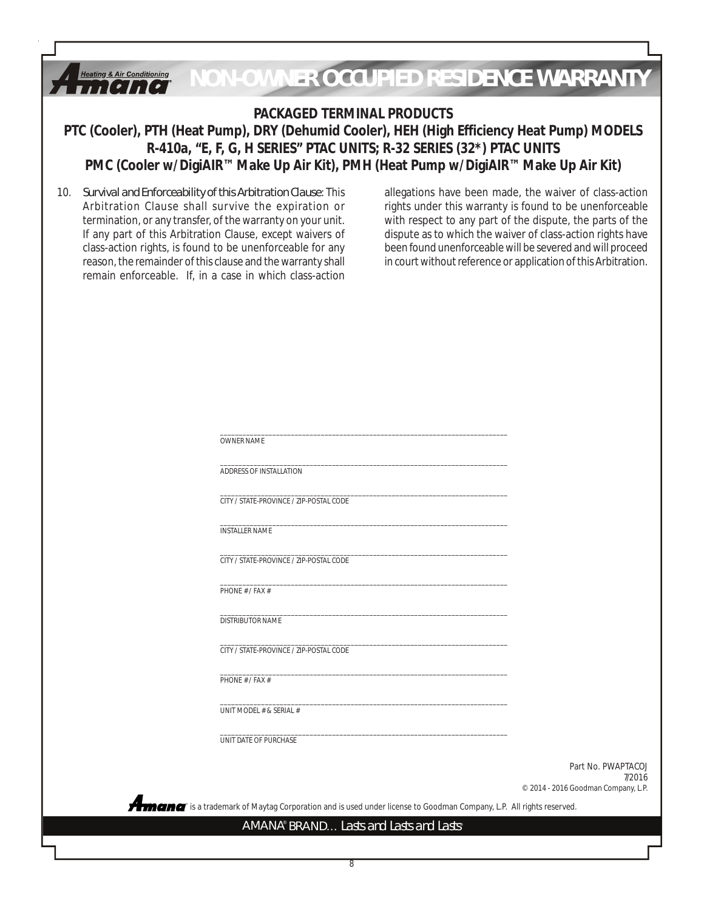

been found unenforceable will be severed and will proceed in court without reference or application of this Arbitration.

class-action rights, is found to be unenforceable for any reason, the remainder of this clause and the warranty shall remain enforceable. If, in a case in which class-action

> **®** is a trademark of Maytag Corporation and is used under license to Goodman Company, L.P. All rights reserved. Part No. PWAPTACOJ © 2014 - 2016 Goodman Company, L.P. \_\_\_\_\_\_\_\_\_\_\_\_\_\_\_\_\_\_\_\_\_\_\_\_\_\_\_\_\_\_\_\_\_\_\_\_\_\_\_\_\_\_\_\_\_\_\_\_\_\_\_\_\_\_\_\_\_\_\_\_\_\_\_\_\_\_\_\_\_\_\_\_\_\_\_\_\_ OWNER NAME \_\_\_\_\_\_\_\_\_\_\_\_\_\_\_\_\_\_\_\_\_\_\_\_\_\_\_\_\_\_\_\_\_\_\_\_\_\_\_\_\_\_\_\_\_\_\_\_\_\_\_\_\_\_\_\_\_\_\_\_\_\_\_\_\_\_\_\_\_\_\_\_\_\_\_\_\_ ADDRESS OF INSTALLATION \_\_\_\_\_\_\_\_\_\_\_\_\_\_\_\_\_\_\_\_\_\_\_\_\_\_\_\_\_\_\_\_\_\_\_\_\_\_\_\_\_\_\_\_\_\_\_\_\_\_\_\_\_\_\_\_\_\_\_\_\_\_\_\_\_\_\_\_\_\_\_\_\_\_\_\_\_ CITY / STATE-PROVINCE / ZIP-POSTAL CODE \_\_\_\_\_\_\_\_\_\_\_\_\_\_\_\_\_\_\_\_\_\_\_\_\_\_\_\_\_\_\_\_\_\_\_\_\_\_\_\_\_\_\_\_\_\_\_\_\_\_\_\_\_\_\_\_\_\_\_\_\_\_\_\_\_\_\_\_\_\_\_\_\_\_\_\_\_ INSTALLER NAME \_\_\_\_\_\_\_\_\_\_\_\_\_\_\_\_\_\_\_\_\_\_\_\_\_\_\_\_\_\_\_\_\_\_\_\_\_\_\_\_\_\_\_\_\_\_\_\_\_\_\_\_\_\_\_\_\_\_\_\_\_\_\_\_\_\_\_\_\_\_\_\_\_\_\_\_\_ CITY / STATE-PROVINCE / ZIP-POSTAL CODE \_\_\_\_\_\_\_\_\_\_\_\_\_\_\_\_\_\_\_\_\_\_\_\_\_\_\_\_\_\_\_\_\_\_\_\_\_\_\_\_\_\_\_\_\_\_\_\_\_\_\_\_\_\_\_\_\_\_\_\_\_\_\_\_\_\_\_\_\_\_\_\_\_\_\_\_\_ PHONE # / FAX # \_\_\_\_\_\_\_\_\_\_\_\_\_\_\_\_\_\_\_\_\_\_\_\_\_\_\_\_\_\_\_\_\_\_\_\_\_\_\_\_\_\_\_\_\_\_\_\_\_\_\_\_\_\_\_\_\_\_\_\_\_\_\_\_\_\_\_\_\_\_\_\_\_\_\_\_\_ DISTRIBUTOR NAME \_\_\_\_\_\_\_\_\_\_\_\_\_\_\_\_\_\_\_\_\_\_\_\_\_\_\_\_\_\_\_\_\_\_\_\_\_\_\_\_\_\_\_\_\_\_\_\_\_\_\_\_\_\_\_\_\_\_\_\_\_\_\_\_\_\_\_\_\_\_\_\_\_\_\_\_\_ CITY / STATE-PROVINCE / ZIP-POSTAL CODE \_\_\_\_\_\_\_\_\_\_\_\_\_\_\_\_\_\_\_\_\_\_\_\_\_\_\_\_\_\_\_\_\_\_\_\_\_\_\_\_\_\_\_\_\_\_\_\_\_\_\_\_\_\_\_\_\_\_\_\_\_\_\_\_\_\_\_\_\_\_\_\_\_\_\_\_\_ PHONE # / FAX # \_\_\_\_\_\_\_\_\_\_\_\_\_\_\_\_\_\_\_\_\_\_\_\_\_\_\_\_\_\_\_\_\_\_\_\_\_\_\_\_\_\_\_\_\_\_\_\_\_\_\_\_\_\_\_\_\_\_\_\_\_\_\_\_\_\_\_\_\_\_\_\_\_\_\_\_\_ UNIT MODEL # & SERIAL # \_\_\_\_\_\_\_\_\_\_\_\_\_\_\_\_\_\_\_\_\_\_\_\_\_\_\_\_\_\_\_\_\_\_\_\_\_\_\_\_\_\_\_\_\_\_\_\_\_\_\_\_\_\_\_\_\_\_\_\_\_\_\_\_\_\_\_\_\_\_\_\_\_\_\_\_\_ UNIT DATE OF PURCHASE

7/2016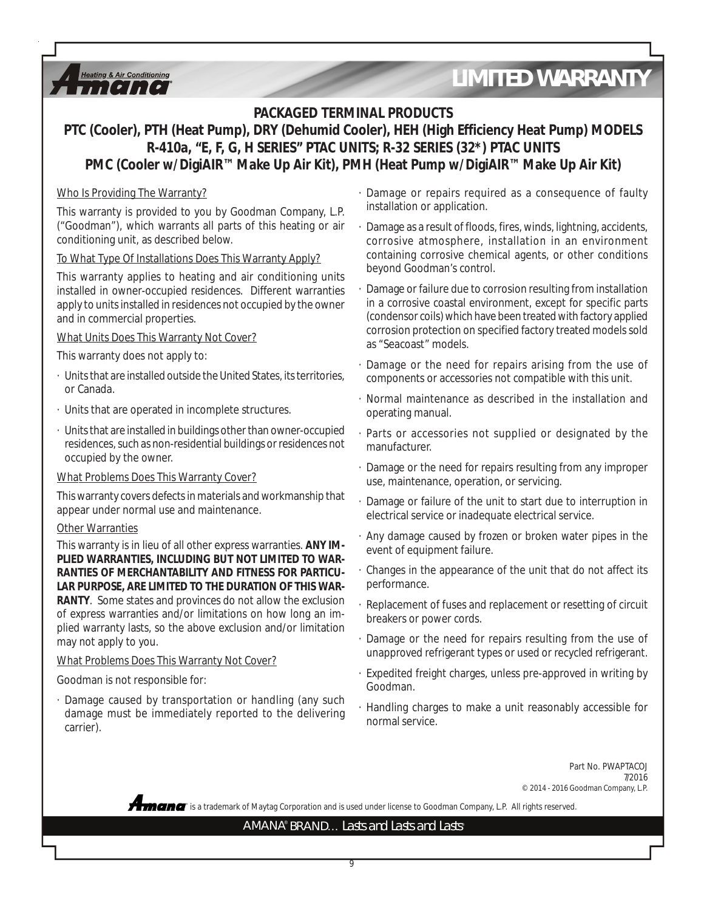### **PACKAGED TERMINAL PRODUCTS**

## **PTC (Cooler), PTH (Heat Pump), DRY (Dehumid Cooler), HEH (High Efficiency Heat Pump) MODELS R-410a, "E, F, G, H SERIES" PTAC UNITS; R-32 SERIES (32\*) PTAC UNITS PMC (Cooler w/DigiAIR™ Make Up Air Kit), PMH (Heat Pump w/DigiAIR™ Make Up Air Kit)**

### Who Is Providing The Warranty?

**Heating & Air Conditioning**  $\mathbf{u}$   $\mathbf{v}$   $\mathbf{v}$   $\mathbf{v}$   $\mathbf{v}$ 

This warranty is provided to you by Goodman Company, L.P. ("Goodman"), which warrants all parts of this heating or air conditioning unit, as described below.

### To What Type Of Installations Does This Warranty Apply?

This warranty applies to heating and air conditioning units installed in owner-occupied residences. Different warranties apply to units installed in residences not occupied by the owner and in commercial properties.

### What Units Does This Warranty Not Cover?

This warranty does not apply to:

- · Units that are installed outside the United States, its territories, or Canada.
- · Units that are operated in incomplete structures.
- · Units that are installed in buildings other than owner-occupied residences, such as non-residential buildings or residences not occupied by the owner.

#### What Problems Does This Warranty Cover?

This warranty covers defects in materials and workmanship that appear under normal use and maintenance.

#### Other Warranties

This warranty is in lieu of all other express warranties. **ANY IM-PLIED WARRANTIES, INCLUDING BUT NOT LIMITED TO WAR-RANTIES OF MERCHANTABILITY AND FITNESS FOR PARTICU-LAR PURPOSE, ARE LIMITED TO THE DURATION OF THIS WAR-RANTY**. Some states and provinces do not allow the exclusion of express warranties and/or limitations on how long an implied warranty lasts, so the above exclusion and/or limitation may not apply to you.

#### What Problems Does This Warranty Not Cover?

### Goodman is not responsible for:

· Damage caused by transportation or handling (any such damage must be immediately reported to the delivering carrier).

- · Damage or repairs required as a consequence of faulty installation or application.
- Damage as a result of floods, fires, winds, lightning, accidents, corrosive atmosphere, installation in an environment containing corrosive chemical agents, or other conditions beyond Goodman's control.
- · Damage or failure due to corrosion resulting from installation in a corrosive coastal environment, except for specific parts (condensor coils) which have been treated with factory applied corrosion protection on specified factory treated models sold as "Seacoast" models.
- Damage or the need for repairs arising from the use of components or accessories not compatible with this unit.
- · Normal maintenance as described in the installation and operating manual.
- Parts or accessories not supplied or designated by the manufacturer.
- · Damage or the need for repairs resulting from any improper use, maintenance, operation, or servicing.
- Damage or failure of the unit to start due to interruption in electrical service or inadequate electrical service.
- Any damage caused by frozen or broken water pipes in the event of equipment failure.
- · Changes in the appearance of the unit that do not affect its performance.
- · Replacement of fuses and replacement or resetting of circuit breakers or power cords.
- · Damage or the need for repairs resulting from the use of unapproved refrigerant types or used or recycled refrigerant.
- · Expedited freight charges, unless pre-approved in writing by Goodman.
- · Handling charges to make a unit reasonably accessible for normal service.

Part No. PWAPTACOJ 7/2016 © 2014 - 2016 Goodman Company, L.P.

**®** is a trademark of Maytag Corporation and is used under license to Goodman Company, L.P. All rights reserved.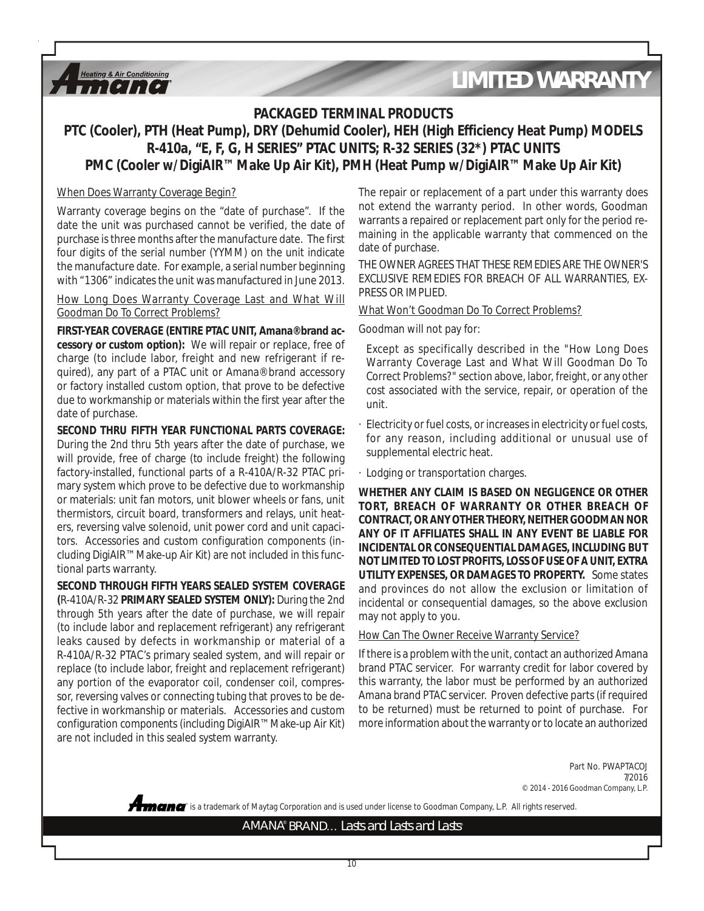### **PACKAGED TERMINAL PRODUCTS**

### **PTC (Cooler), PTH (Heat Pump), DRY (Dehumid Cooler), HEH (High Efficiency Heat Pump) MODELS R-410a, "E, F, G, H SERIES" PTAC UNITS; R-32 SERIES (32\*) PTAC UNITS PMC (Cooler w/DigiAIR™ Make Up Air Kit), PMH (Heat Pump w/DigiAIR™ Make Up Air Kit)**

#### When Does Warranty Coverage Begin?

**Heating & Air Conditioning**  $\iota$ , [ $\iota$ ], [ $\iota$ ]

Warranty coverage begins on the "date of purchase". If the date the unit was purchased cannot be verified, the date of purchase is three months after the manufacture date. The first four digits of the serial number (YYMM) on the unit indicate the manufacture date. For example, a serial number beginning with "1306" indicates the unit was manufactured in June 2013.

How Long Does Warranty Coverage Last and What Will Goodman Do To Correct Problems?

**FIRST-YEAR COVERAGE (ENTIRE PTAC UNIT, Amana® brand accessory or custom option):** We will repair or replace, free of charge (to include labor, freight and new refrigerant if required), any part of a PTAC unit or Amana® brand accessory or factory installed custom option, that prove to be defective due to workmanship or materials within the first year after the date of purchase.

**SECOND THRU FIFTH YEAR FUNCTIONAL PARTS COVERAGE:** During the 2nd thru 5th years after the date of purchase, we will provide, free of charge (to include freight) the following factory-installed, functional parts of a R-410A/R-32 PTAC primary system which prove to be defective due to workmanship or materials: unit fan motors, unit blower wheels or fans, unit thermistors, circuit board, transformers and relays, unit heaters, reversing valve solenoid, unit power cord and unit capacitors. Accessories and custom configuration components (including DigiAIR™ Make-up Air Kit) are not included in this functional parts warranty.

**SECOND THROUGH FIFTH YEARS SEALED SYSTEM COVERAGE (**R-410A/R-32 **PRIMARY SEALED SYSTEM ONLY):** During the 2nd through 5th years after the date of purchase, we will repair (to include labor and replacement refrigerant) any refrigerant leaks caused by defects in workmanship or material of a R-410A/R-32 PTAC's primary sealed system, and will repair or replace (to include labor, freight and replacement refrigerant) any portion of the evaporator coil, condenser coil, compressor, reversing valves or connecting tubing that proves to be defective in workmanship or materials. Accessories and custom configuration components (including DigiAIR™ Make-up Air Kit) are not included in this sealed system warranty.

The repair or replacement of a part under this warranty does not extend the warranty period. In other words, Goodman warrants a repaired or replacement part only for the period remaining in the applicable warranty that commenced on the date of purchase.

THE OWNER AGREES THAT THESE REMEDIES ARE THE OWNER'S EXCLUSIVE REMEDIES FOR BREACH OF ALL WARRANTIES, EX-PRESS OR IMPLIED.

#### What Won't Goodman Do To Correct Problems?

Goodman will not pay for:

Except as specifically described in the "How Long Does Warranty Coverage Last and What Will Goodman Do To Correct Problems?" section above, labor, freight, or any other cost associated with the service, repair, or operation of the unit.

- Electricity or fuel costs, or increases in electricity or fuel costs, for any reason, including additional or unusual use of supplemental electric heat.
- · Lodging or transportation charges.

**WHETHER ANY CLAIM IS BASED ON NEGLIGENCE OR OTHER TORT, BREACH OF WARRANTY OR OTHER BREACH OF CONTRACT, OR ANY OTHER THEORY, NEITHER GOODMAN NOR ANY OF IT AFFILIATES SHALL IN ANY EVENT BE LIABLE FOR INCIDENTAL OR CONSEQUENTIAL DAMAGES, INCLUDING BUT NOT LIMITED TO LOST PROFITS, LOSS OF USE OF A UNIT, EXTRA UTILITY EXPENSES, OR DAMAGES TO PROPERTY.** Some states and provinces do not allow the exclusion or limitation of incidental or consequential damages, so the above exclusion may not apply to you.

#### How Can The Owner Receive Warranty Service?

If there is a problem with the unit, contact an authorized Amana brand PTAC servicer. For warranty credit for labor covered by this warranty, the labor must be performed by an authorized Amana brand PTAC servicer. Proven defective parts (if required to be returned) must be returned to point of purchase. For more information about the warranty or to locate an authorized

> Part No. PWAPTACOJ 7/2016 © 2014 - 2016 Goodman Company, L.P.

**®** is a trademark of Maytag Corporation and is used under license to Goodman Company, L.P. All rights reserved.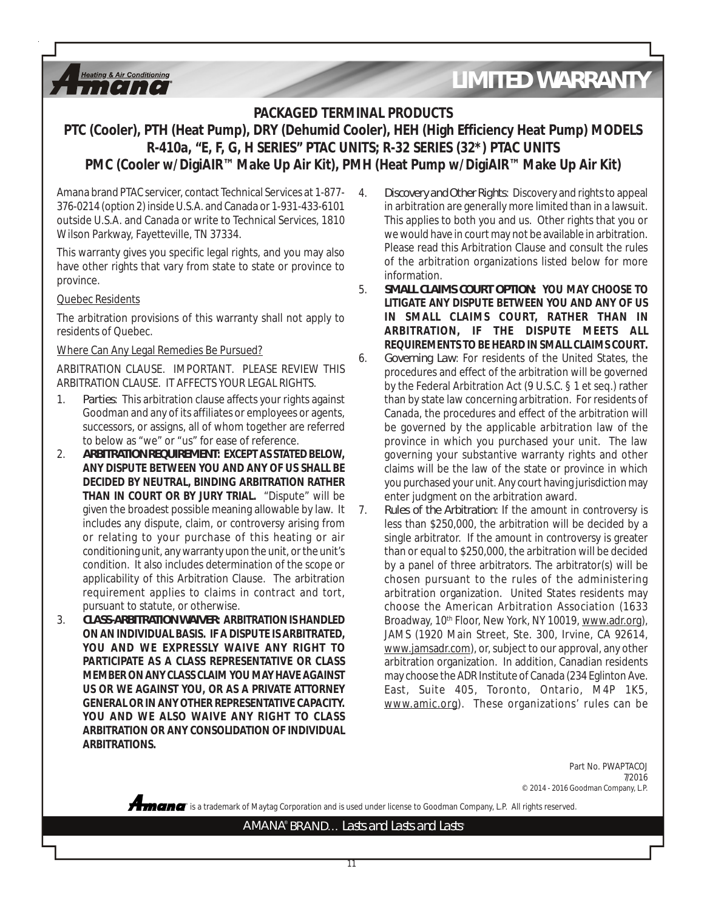### **PACKAGED TERMINAL PRODUCTS**

### **PTC (Cooler), PTH (Heat Pump), DRY (Dehumid Cooler), HEH (High Efficiency Heat Pump) MODELS R-410a, "E, F, G, H SERIES" PTAC UNITS; R-32 SERIES (32\*) PTAC UNITS PMC (Cooler w/DigiAIR™ Make Up Air Kit), PMH (Heat Pump w/DigiAIR™ Make Up Air Kit)**

Amana brand PTAC servicer, contact Technical Services at 1-877- 376-0214 (option 2) inside U.S.A. and Canada or 1-931-433-6101 outside U.S.A. and Canada or write to Technical Services, 1810 Wilson Parkway, Fayetteville, TN 37334.

This warranty gives you specific legal rights, and you may also have other rights that vary from state to state or province to province.

### Quebec Residents

**Heating & Air Conditioning**  $\blacksquare$ 

The arbitration provisions of this warranty shall not apply to residents of Quebec.

### Where Can Any Legal Remedies Be Pursued?

ARBITRATION CLAUSE. IMPORTANT. PLEASE REVIEW THIS ARBITRATION CLAUSE. IT AFFECTS YOUR LEGAL RIGHTS.

- 1. *Parties*: This arbitration clause affects your rights against Goodman and any of its affiliates or employees or agents, successors, or assigns, all of whom together are referred to below as "we" or "us" for ease of reference.
- 2. *ARBITRATION REQUIREMENT***: EXCEPT AS STATED BELOW, ANY DISPUTE BETWEEN YOU AND ANY OF US SHALL BE DECIDED BY NEUTRAL, BINDING ARBITRATION RATHER THAN IN COURT OR BY JURY TRIAL.** "Dispute" will be given the broadest possible meaning allowable by law. It includes any dispute, claim, or controversy arising from or relating to your purchase of this heating or air conditioning unit, any warranty upon the unit, or the unit's condition. It also includes determination of the scope or applicability of this Arbitration Clause. The arbitration requirement applies to claims in contract and tort, pursuant to statute, or otherwise.
- 3. *CLASS-ARBITRATION WAIVER***: ARBITRATION IS HANDLED ON AN INDIVIDUAL BASIS. IF A DISPUTE IS ARBITRATED, YOU AND WE EXPRESSLY WAIVE ANY RIGHT TO PARTICIPATE AS A CLASS REPRESENTATIVE OR CLASS MEMBER ON ANY CLASS CLAIM YOU MAY HAVE AGAINST US OR WE AGAINST YOU, OR AS A PRIVATE ATTORNEY GENERAL OR IN ANY OTHER REPRESENTATIVE CAPACITY. YOU AND WE ALSO WAIVE ANY RIGHT TO CLASS ARBITRATION OR ANY CONSOLIDATION OF INDIVIDUAL ARBITRATIONS.**
- 4. *Discovery and Other Rights*: Discovery and rights to appeal in arbitration are generally more limited than in a lawsuit. This applies to both you and us. Other rights that you or we would have in court may not be available in arbitration. Please read this Arbitration Clause and consult the rules of the arbitration organizations listed below for more information.
- 5. *SMALL CLAIMS COURT OPTION***: YOU MAY CHOOSE TO LITIGATE ANY DISPUTE BETWEEN YOU AND ANY OF US IN SMALL CLAIMS COURT, RATHER THAN IN ARBITRATION, IF THE DISPUTE MEETS ALL REQUIREMENTS TO BE HEARD IN SMALL CLAIMS COURT.**
- 6. *Governing Law*: For residents of the United States, the procedures and effect of the arbitration will be governed by the Federal Arbitration Act (9 U.S.C. § 1 et seq.) rather than by state law concerning arbitration. For residents of Canada, the procedures and effect of the arbitration will be governed by the applicable arbitration law of the province in which you purchased your unit. The law governing your substantive warranty rights and other claims will be the law of the state or province in which you purchased your unit. Any court having jurisdiction may enter judgment on the arbitration award.
- 7. *Rules of the Arbitration*: If the amount in controversy is less than \$250,000, the arbitration will be decided by a single arbitrator. If the amount in controversy is greater than or equal to \$250,000, the arbitration will be decided by a panel of three arbitrators. The arbitrator(s) will be chosen pursuant to the rules of the administering arbitration organization. United States residents may choose the American Arbitration Association (1633 Broadway, 10<sup>th</sup> Floor, New York, NY 10019, www.adr.org), JAMS (1920 Main Street, Ste. 300, Irvine, CA 92614, www.jamsadr.com), or, subject to our approval, any other arbitration organization. In addition, Canadian residents may choose the ADR Institute of Canada (234 Eglinton Ave. East, Suite 405, Toronto, Ontario, M4P 1K5, www.amic.org). These organizations' rules can be

Part No. PWAPTACOJ 7/2016 © 2014 - 2016 Goodman Company, L.P.

**®** is a trademark of Maytag Corporation and is used under license to Goodman Company, L.P. All rights reserved.